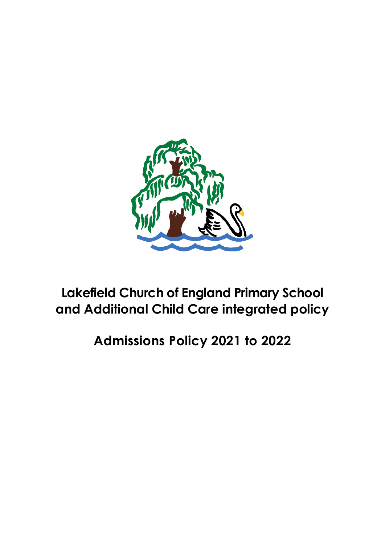

# **Lakefield Church of England Primary School and Additional Child Care integrated policy**

**Admissions Policy 2021 to 2022**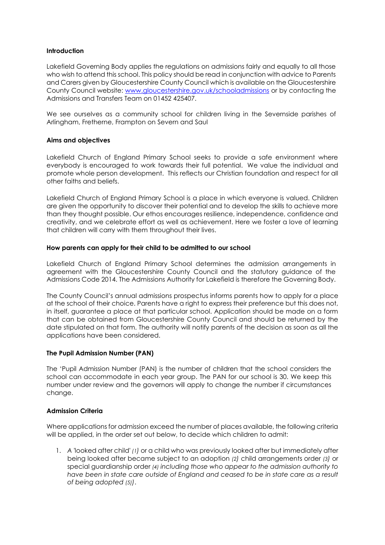## **Introduction**

Lakefield Governing Body applies the regulations on admissions fairly and equally to all those who wish to attend this school. This policy should be read in conjunction with advice to Parents and Carers given by Gloucestershire County Council which is available on the Gloucestershire County Council website: [www.gloucestershire.gov.uk/schooladmissions](http://www.gloucestershire.gov.uk/schooladmissions) or by contacting the Admissions and Transfers Team on 01452 425407.

We see ourselves as a community school for children living in the Severnside parishes of Arlingham, Fretherne, Frampton on Severn and Saul

## **Aims and objectives**

Lakefield Church of England Primary School seeks to provide a safe environment where everybody is encouraged to work towards their full potential. We value the individual and promote whole person development. This reflects our Christian foundation and respect for all other faiths and beliefs.

Lakefield Church of England Primary School is a place in which everyone is valued. Children are given the opportunity to discover their potential and to develop the skills to achieve more than they thought possible. Our ethos encourages resilience, independence, confidence and creativity, and we celebrate effort as well as achievement. Here we foster a love of learning that children will carry with them throughout their lives.

### **How parents can apply for their child to be admitted to our school**

Lakefield Church of England Primary School determines the admission arrangements in agreement with the Gloucestershire County Council and the statutory guidance of the Admissions Code 2014. The Admissions Authority for Lakefield is therefore the Governing Body.

The County Council's annual admissions prospectus informs parents how to apply for a place at the school of their choice. Parents have a right to express their preference but this does not, in itself, guarantee a place at that particular school. Application should be made on a form that can be obtained from Gloucestershire County Council and should be returned by the date stipulated on that form. The authority will notify parents of the decision as soon as all the applications have been considered.

### **The Pupil Admission Number (PAN)**

The 'Pupil Admission Number (PAN) is the number of children that the school considers the school can accommodate in each year group. The PAN for our school is 30. We keep this number under review and the governors will apply to change the number if circumstances change.

### **Admission Criteria**

Where applications for admission exceed the number of places available, the following criteria will be applied, in the order set out below, to decide which children to admit:

1. *A '*looked after child' *(1)* or a child who was previously looked after but immediately after being looked after became subject to an adoption *(2)* child arrangements order *(3)* or special guardianship order *(4) including those who appear to the admission authority to have been in state care outside of England and ceased to be in state care as a result of being adopted (5))*.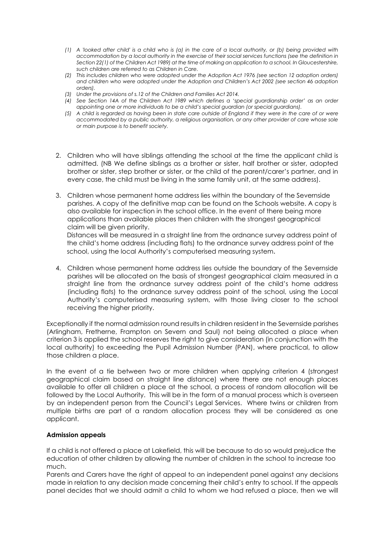- *(1) A 'looked after child' is a child who is (a) in the care of a local authority, or (b) being provided with accommodation by a local authority in the exercise of their social services functions (see the definition in Section 22(1) of the Children Act 1989) at the time of making an application to a school. In Gloucestershire, such children are referred to as Children in Care.*
- *(2) This includes children who were adopted under the Adoption Act 1976 (see section 12 adoption orders) and children who were adopted under the Adoption and Children's Act 2002 (see section 46 adoption orders).*
- *(3) Under the provisions of s.12 of the Children and Families Act 2014.*
- *(4) See Section 14A of the Children Act 1989 which defines a 'special guardianship order' as an order appointing one or more individuals to be a child's special guardian (or special guardians).*
- *(5) A child is regarded as having been in state care outside of England if they were in the care of or were accommodated by a public authority, a religious organisation, or any other provider of care whose sole or main purpose is to benefit society.*
- 2. Children who will have siblings attending the school at the time the applicant child is admitted. (NB We define siblings as a brother or sister, half brother or sister, adopted brother or sister, step brother or sister, or the child of the parent/carer's partner, and in every case, the child must be living in the same family unit, at the same address).
- 3. Children whose permanent home address lies within the boundary of the Severnside parishes. A copy of the definitive map can be found on the Schools website. A copy is also available for inspection in the school office. In the event of there being more applications than available places then children with the strongest geographical claim will be given priority.

Distances will be measured in a straight line from the ordnance survey address point of the child's home address (including flats) to the ordnance survey address point of the school, using the local Authority's computerised measuring system.

4. Children whose permanent home address lies outside the boundary of the Severnside parishes will be allocated on the basis of strongest geographical claim measured in a straight line from the ordnance survey address point of the child's home address (including flats) to the ordnance survey address point of the school, using the Local Authority's computerised measuring system, with those living closer to the school receiving the higher priority.

Exceptionally if the normal admission round results in children resident in the Severnside parishes (Arlingham, Fretherne, Frampton on Severn and Saul) not being allocated a place when criterion 3 is applied the school reserves the right to give consideration (in conjunction with the local authority) to exceeding the Pupil Admission Number (PAN), where practical, to allow those children a place.

In the event of a tie between two or more children when applying criterion 4 (strongest geographical claim based on straight line distance) where there are not enough places available to offer all children a place at the school, a process of random allocation will be followed by the Local Authority. This will be in the form of a manual process which is overseen by an independent person from the Council's Legal Services. Where twins or children from multiple births are part of a random allocation process they will be considered as one applicant.

### **Admission appeals**

If a child is not offered a place at Lakefield, this will be because to do so would prejudice the education of other children by allowing the number of children in the school to increase too much.

Parents and Carers have the right of appeal to an independent panel against any decisions made in relation to any decision made concerning their child's entry to school. If the appeals panel decides that we should admit a child to whom we had refused a place, then we will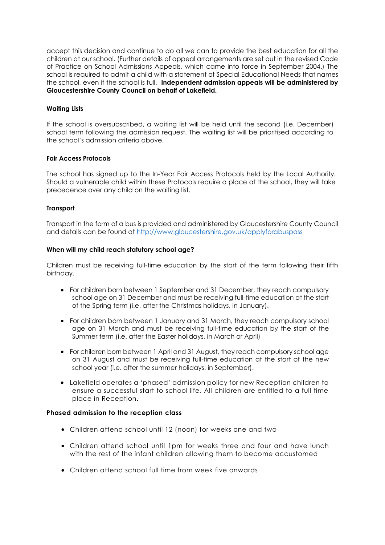accept this decision and continue to do all we can to provide the best education for all the children at our school. (Further details of appeal arrangements are set out in the revised Code of Practice on School Admissions Appeals, which came into force in September 2004.) The school is required to admit a child with a statement of Special Educational Needs that names the school, even if the school is full. **Independent admission appeals will be administered by Gloucestershire County Council on behalf of Lakefield.**

# **Waiting Lists**

If the school is oversubscribed, a waiting list will be held until the second (i.e. December) school term following the admission request. The waiting list will be prioritised according to the school's admission criteria above.

### **Fair Access Protocols**

The school has signed up to the In-Year Fair Access Protocols held by the Local Authority. Should a vulnerable child within these Protocols require a place at the school, they will take precedence over any child on the waiting list.

## **Transport**

Transport in the form of a bus is provided and administered by Gloucestershire County Council and details can be found at <http://www.gloucestershire.gov.uk/applyforabuspass>

### **When will my child reach statutory school age?**

Children must be receiving full-time education by the start of the term following their fifth birthday.

- For children born between 1 September and 31 December, they reach compulsory school age on 31 December and must be receiving full-time education at the start of the Spring term (i.e. after the Christmas holidays, in January).
- For children born between 1 January and 31 March, they reach compulsory school age on 31 March and must be receiving full-time education by the start of the Summer term (i.e. after the Easter holidays, in March or April)
- For children born between 1 April and 31 August, they reach compulsory school age on 31 August and must be receiving full-time education at the start of the new school year (i.e. after the summer holidays, in September).
- Lakefield operates a 'phased' admission policy for new Reception children to ensure a successful start to school life. All children are entitled to a full time place in Reception.

### **Phased admission to the reception class**

- Children attend school until 12 (noon) for weeks one and two
- Children attend school until 1pm for weeks three and four and have lunch with the rest of the infant children allowing them to become accustomed
- Children attend school full time from week five onwards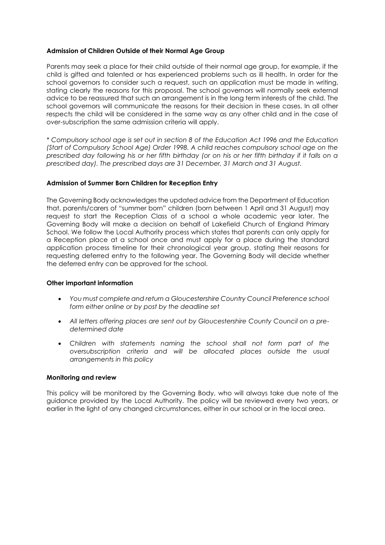#### **Admission of Children Outside of their Normal Age Group**

Parents may seek a place for their child outside of their normal age group, for example, if the child is gifted and talented or has experienced problems such as ill health. In order for the school governors to consider such a request, such an application must be made in writing, stating clearly the reasons for this proposal. The school governors will normally seek external advice to be reassured that such an arrangement is in the long term interests of the child. The school governors will communicate the reasons for their decision in these cases. In all other respects the child will be considered in the same way as any other child and in the case of over-subscription the same admission criteria will apply.

*\* Compulsory school age is set out in section 8 of the Education Act 1996 and the Education (Start of Compulsory School Age) Order 1998. A child reaches compulsory school age on the prescribed day following his or her fifth birthday (or on his or her fifth birthday if it falls on a prescribed day). The prescribed days are 31 December, 31 March and 31 August.*

#### **Admission of Summer Born Children for Reception Entry**

The Governing Body acknowledges the updated advice from the Department of Education that, parents/carers of "summer born" children (born between 1 April and 31 August) may request to start the Reception Class of a school a whole academic year later. The Governing Body will make a decision on behalf of Lakefield Church of England Primary School. We follow the Local Authority process which states that parents can only apply for a Reception place at a school once and must apply for a place during the standard application process timeline for their chronological year group, stating their reasons for requesting deferred entry to the following year. The Governing Body will decide whether the deferred entry can be approved for the school.

#### **Other important information**

- *You must complete and return a Gloucestershire Country Council Preference school form either online or by post by the deadline set*
- *All letters offering places are sent out by Gloucestershire County Council on a predetermined date*
- *Children with statements naming the school shall not form part of the oversubscription criteria and will be allocated places outside the usual arrangements in this policy*

#### **Monitoring and review**

This policy will be monitored by the Governing Body, who will always take due note of the guidance provided by the Local Authority. The policy will be reviewed every two years, or earlier in the light of any changed circumstances, either in our school or in the local area.